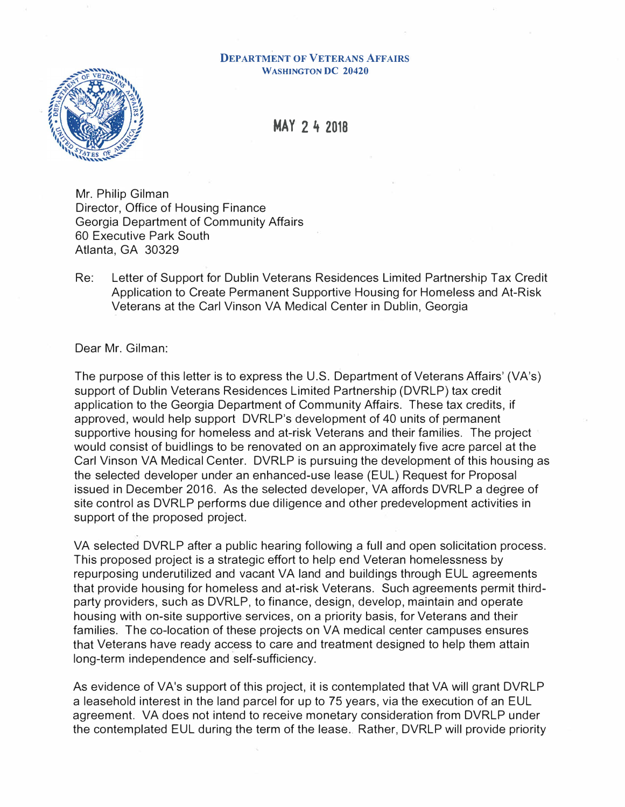## **DEPARTMENT OF VETERANS AFFAIRS WASHINGTON DC 20420**



**MAY 2 4 2018** 

Mr. Philip Gilman Director, Office of Housing Finance Georgia Department of Community Affairs 60 Executive Park South Atlanta, GA 30329

Re: Letter of Support for Dublin Veterans Residences Limited Partnership Tax Credit Application to Create Permanent Supportive Housing for Homeless and At-Risk Veterans at the Carl Vinson VA Medical Center in Dublin, Georgia

Dear Mr. Gilman:

The purpose of this letter is to express the U.S. Department of Veterans Affairs' (VA's) support of Dublin Veterans Residences Limited Partnership (DVRLP) tax credit application to the Georgia Department of Community Affairs. These tax credits, if approved, would help support DVRLP's development of 40 units of permanent supportive housing for homeless and at-risk Veterans and their families. The project would consist of buidlings to be renovated on an approximately five acre parcel at the Carl Vinson VA Medical Center. DVRLP is pursuing the development of this housing as the selected developer under an enhanced-use lease (EUL) Request for Proposal issued in December 2016. As the selected developer, VA affords DVRLP a degree of site control as DVRLP performs due diligence and other predevelopment activities in support of the proposed project.

VA selected DVRLP after a public hearing following a full and open solicitation process. This proposed project is a strategic effort to help end Veteran homelessness by repurposing underutilized and vacant VA land and buildings through EUL agreements that provide housing for homeless and at-risk Veterans. Such agreements permit thirdparty providers, such as DVRLP, to finance, design, develop, maintain and operate housing with on-site supportive services, on a priority basis, for Veterans and their families. The co-location of these projects on VA medical center campuses ensures that Veterans have ready access to care and treatment designed to help them attain long-term independence and self-sufficiency.

As evidence of VA's support of this project, it is contemplated that VA will grant DVRLP a leasehold interest in the land parcel for up to 75 years, via the execution of an EUL agreement. VA does not intend to receive monetary consideration from DVRLP under the contemplated EUL during the term of the lease. Rather, DVRLP will provide priority